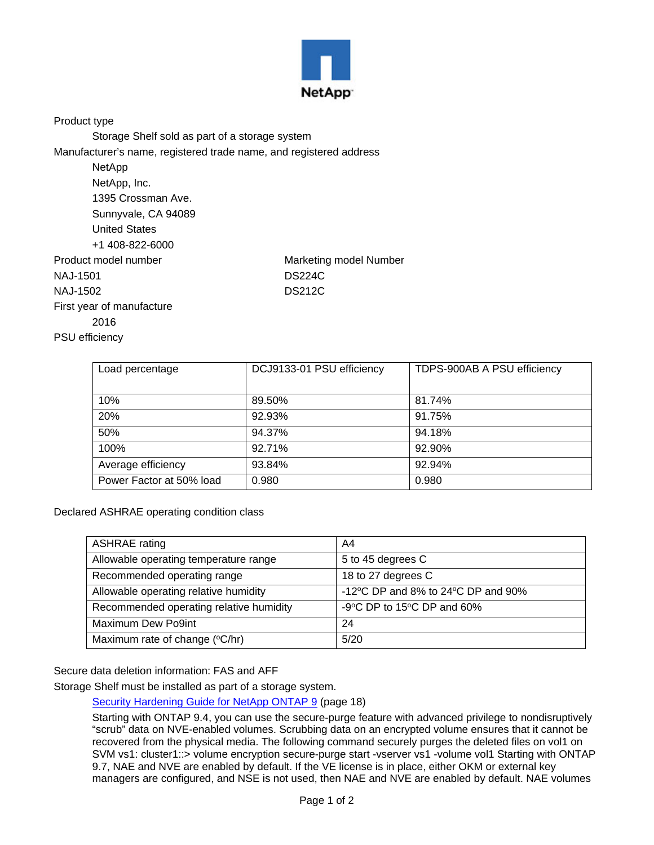

Product type

Storage Shelf sold as part of a storage system

Manufacturer's name, registered trade name, and registered address

| NetApp                    |                        |
|---------------------------|------------------------|
| NetApp, Inc.              |                        |
| 1395 Crossman Ave.        |                        |
| Sunnyvale, CA 94089       |                        |
| <b>United States</b>      |                        |
| +1 408-822-6000           |                        |
| Product model number      | Marketing model Number |
| NAJ-1501                  | <b>DS224C</b>          |
| NAJ-1502                  | <b>DS212C</b>          |
| First year of manufacture |                        |
| 2016                      |                        |

PSU efficiency

| Load percentage          | DCJ9133-01 PSU efficiency | TDPS-900AB A PSU efficiency |
|--------------------------|---------------------------|-----------------------------|
|                          |                           |                             |
| 10%                      | 89.50%                    | 81.74%                      |
| 20%                      | 92.93%                    | 91.75%                      |
| 50%                      | 94.37%                    | 94.18%                      |
| 100%                     | 92.71%                    | 92.90%                      |
| Average efficiency       | 93.84%                    | 92.94%                      |
| Power Factor at 50% load | 0.980                     | 0.980                       |

Declared ASHRAE operating condition class

| <b>ASHRAE</b> rating                    | A4                                                     |
|-----------------------------------------|--------------------------------------------------------|
| Allowable operating temperature range   | 5 to 45 degrees C                                      |
| Recommended operating range             | 18 to 27 degrees C                                     |
| Allowable operating relative humidity   | -12 $\degree$ C DP and 8% to 24 $\degree$ C DP and 90% |
| Recommended operating relative humidity | -9 $\degree$ C DP to 15 $\degree$ C DP and 60%         |
| Maximum Dew Po9int                      | 24                                                     |
| Maximum rate of change (°C/hr)          | 5/20                                                   |

Secure data deletion information: FAS and AFF

Storage Shelf must be installed as part of a storage system.

[Security Hardening Guide for NetApp ONTAP 9](https://www.netapp.com/us/media/tr-4569.pdf) (page 18)

Starting with ONTAP 9.4, you can use the secure-purge feature with advanced privilege to nondisruptively "scrub" data on NVE-enabled volumes. Scrubbing data on an encrypted volume ensures that it cannot be recovered from the physical media. The following command securely purges the deleted files on vol1 on SVM vs1: cluster1::> volume encryption secure-purge start -vserver vs1 -volume vol1 Starting with ONTAP 9.7, NAE and NVE are enabled by default. If the VE license is in place, either OKM or external key managers are configured, and NSE is not used, then NAE and NVE are enabled by default. NAE volumes